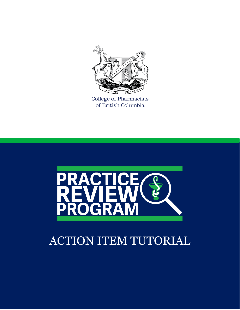

College of Pharmacists of British Columbia



## ACTION ITEM TUTORIAL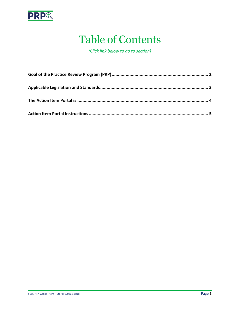

#### Table of Contents

*(Click link below to go to section)*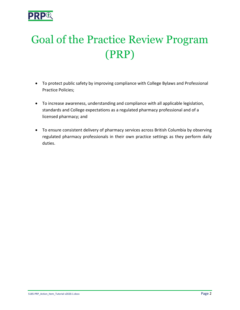

# <span id="page-2-0"></span>Goal of the Practice Review Program (PRP)

- To protect public safety by improving compliance with College Bylaws and Professional Practice Policies;
- To increase awareness, understanding and compliance with all applicable legislation, standards and College expectations as a regulated pharmacy professional and of a licensed pharmacy; and
- To ensure consistent delivery of pharmacy services across British Columbia by observing regulated pharmacy professionals in their own practice settings as they perform daily duties.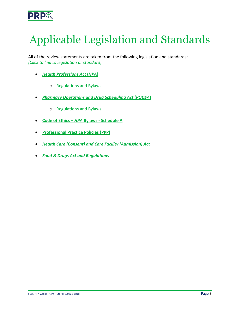

# <span id="page-3-0"></span>Applicable Legislation and Standards

All of the review statements are taken from the following legislation and standards: *(Click to link to legislation or standard)*

- *[Health Professions Act](http://www.bclaws.ca/EPLibraries/bclaws_new/document/ID/freeside/00_96183_01)* **(***HPA***)**
	- o [Regulations and Bylaws](https://www.bcpharmacists.org/acts-and-bylaws)
- *[Pharmacy Operations and Drug Scheduling Act](http://www.bclaws.ca/civix/document/id/complete/statreg/03077_01)* **(***PODSA***)**
	- o [Regulations and Bylaws](https://www.bcpharmacists.org/acts-and-bylaws)
- **[Code of Ethics –](https://www.bcpharmacists.org/acts-and-bylaws#accpanel-0)** *HPA* **Bylaws - Schedule A**
- **[Professional Practice Policies \(PPP\)](http://www.bcpharmacists.org/professional-practice-policies-and-guides)**
- *[Health Care \(Consent\) and Care Facility \(Admission\) Act](http://www.bclaws.ca/civix/document/id/complete/statreg/96181_01)*
- *[Food & Drugs Act and Regulations](http://laws-lois.justice.gc.ca/eng/acts/F-27/index.html)*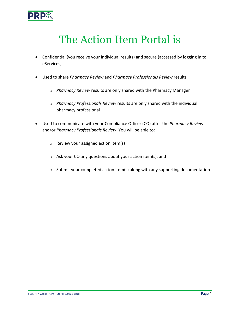

#### The Action Item Portal is

- <span id="page-4-0"></span>• Confidential (you receive your individual results) and secure (accessed by logging in to eServices)
- Used to share *Pharmacy Review* and *Pharmacy Professionals Review* results
	- o *Pharmacy Review* results are only shared with the Pharmacy Manager
	- o *Pharmacy Professionals Review* results are only shared with the individual pharmacy professional
- Used to communicate with your Compliance Officer (CO) after the *Pharmacy Review* and/or *Pharmacy Professionals Review*. You will be able to:
	- o Review your assigned action item(s)
	- o Ask your CO any questions about your action item(s), and
	- o Submit your completed action item(s) along with any supporting documentation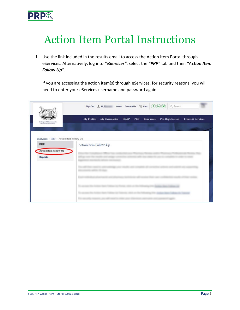

## <span id="page-5-0"></span>Action Item Portal Instructions

1. Use the link included in the results email to access the Action Item Portal through eServices. Alternatively, log into *"eServices"*, select the *"PRP"* tab and then *"Action Item Follow Up"*.

If you are accessing the action item(s) through eServices, for security reasons, you will need to enter your eServices username and password again.

|                                                | $Sign Out \perp\!\!\!\!\perp \!\!\!\!\perp H, i \qquad \qquad Home \quad ContactUs \quad \overleftarrow{\downarrow\!\!\!\!\perp} \ \text{Cart} \ \overrightarrow{ \big(\text{\rm }F\big)\,} \overrightarrow{ \text{\rm in}\,} \big(\text{\rm \textbf{y}}\big)$<br>Q Search |
|------------------------------------------------|----------------------------------------------------------------------------------------------------------------------------------------------------------------------------------------------------------------------------------------------------------------------------|
| College of Pharmaciata<br>of British Oolumbia. | My Profile<br>My Pharmacies<br>PDAP<br>PRP<br>Pre-Registration<br>Resources<br>Events & Services                                                                                                                                                                           |
| eServices - PRP - Action Item Follow-Up        |                                                                                                                                                                                                                                                                            |
| PRP<br>Action Item Follow-Up                   | Action Item Follow-Up                                                                                                                                                                                                                                                      |
| Reports                                        |                                                                                                                                                                                                                                                                            |
|                                                |                                                                                                                                                                                                                                                                            |
|                                                |                                                                                                                                                                                                                                                                            |
|                                                |                                                                                                                                                                                                                                                                            |
|                                                |                                                                                                                                                                                                                                                                            |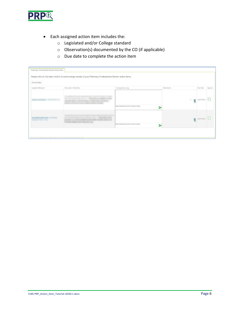

- Each assigned action item includes the:
	- o Legislated and/or College standard
	- o Observation(s) documented by the CO (if applicable)
	- o Due date to complete the action item

| Pharmacy Professionals Review Action Items |                                                                                                             |                                                               |             |                                          |             |         |
|--------------------------------------------|-------------------------------------------------------------------------------------------------------------|---------------------------------------------------------------|-------------|------------------------------------------|-------------|---------|
|                                            | Please click on the below button to acknowledge receipt of your Pharmacy Professionals Review action items. |                                                               |             |                                          |             |         |
| Acknowledge                                |                                                                                                             |                                                               |             |                                          |             |         |
| Legislation/Standard                       | Observation / Action Item                                                                                   | Correspondence Log                                            | Attachments |                                          | Due Date    | Approve |
|                                            |                                                                                                             | Enter Comment and Click Arrow to Save.                        |             | $\mathcal{L}$<br>$\overline{\mathbb{O}}$ | Apr-07-2017 |         |
|                                            |                                                                                                             | <b>CONSTRUCTION</b><br>Enter Comment and Click Arrow to Save. | ∍           | G.<br>$\sqrt{2}$                         | Apr-07-2017 |         |
|                                            | Staff of Alignalis Action Record authority                                                                  |                                                               | ∍           |                                          |             |         |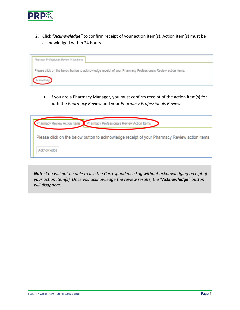

2. Click *"Acknowledge"* to confirm receipt of your action item(s). Action item(s) must be acknowledged within 24 hours.

| Pharmacy Professionals Review Action Items |                                                                                                             |
|--------------------------------------------|-------------------------------------------------------------------------------------------------------------|
|                                            | Please click on the below button to acknowledge receipt of your Pharmacy Professionals Review action items. |
|                                            |                                                                                                             |

• If you are a Pharmacy Manager, you must confirm receipt of the action item(s) for both the *Pharmacy Review* and your *Pharmacy Professionals Review*.

| harmacy Review Action Items <b>C</b> Pharmacy Professionals Review Action Items               |  |
|-----------------------------------------------------------------------------------------------|--|
| Please click on the below button to acknowledge receipt of your Pharmacy Review action items. |  |
| Acknowledge                                                                                   |  |

*Note: You will not be able to use the Correspondence Log without acknowledging receipt of your action item(s). Once you acknowledge the review results, the "Acknowledge" button will disappear.*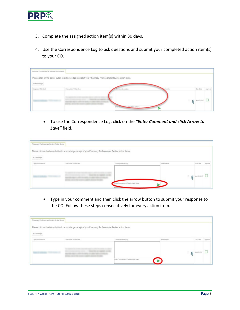

- 3. Complete the assigned action item(s) within 30 days.
- 4. Use the Correspondence Log to ask questions and submit your completed action item(s) to your CO.

| Pharmacy Professionals Review Action Items |                                                                                                             |                                       |              |   |                       |         |
|--------------------------------------------|-------------------------------------------------------------------------------------------------------------|---------------------------------------|--------------|---|-----------------------|---------|
|                                            | Please click on the below button to acknowledge receipt of your Pharmacy Professionals Review action items. |                                       |              |   |                       |         |
| Acknowledge                                |                                                                                                             |                                       |              |   |                       |         |
| Legislator/Standard                        | Observation / Action Item                                                                                   | Correspondence Log                    | c Fornantita |   | Due Date              | Approve |
| commercial construction of the             |                                                                                                             | our Constitution of the Arrow to Save |              | × | $\bigcap$ Aprill 2017 |         |

• To use the Correspondence Log, click on the *"Enter Comment and click Arrow to Save"* field.

| Pharmacy Professionals Review Action Items |                                                                                                             |                                       |            |   |                       |         |
|--------------------------------------------|-------------------------------------------------------------------------------------------------------------|---------------------------------------|------------|---|-----------------------|---------|
| Ackrowledge                                | Please click on the below button to acknowledge receipt of your Pharmacy Professionals Review action items. |                                       |            |   |                       |         |
| Legislation/Standard                       | Observation / Action item                                                                                   | Comespondence Log                     | Atachments |   | Due Date              | Арргоне |
|                                            |                                                                                                             | nter Comment and Click Arrow to Save. |            | ÷ | $\bigcap$ 4pr-07-2017 |         |

• Type in your comment and then click the arrow button to submit your response to the CO. Follow these steps consecutively for every action item.

| Pharmacy Professionals Review Action Items |                                                                                                             |                                               |                                     |          |         |
|--------------------------------------------|-------------------------------------------------------------------------------------------------------------|-----------------------------------------------|-------------------------------------|----------|---------|
| Acknowledge                                | Please click on the below button to acknowledge receipt of your Pharmacy Professionals Review action items. |                                               |                                     |          |         |
| Legislation/Standard                       | Observation / Action item                                                                                   | Comespondence Log                             | Attachments                         | Doe Date | Арргоня |
|                                            |                                                                                                             | Enter Comment and Click Arrow to Save.<br>- 5 | $\leftarrow$ 0 $\leftarrow$ 07-2017 |          |         |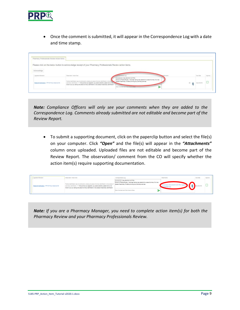

• Once the comment is submitted, it will appear in the Correspondence Log with a date and time stamp.

| Pharmacy Professionals Review Action Items |                                                                                                             |                                                                                                                                                                                       |                    |             |  |
|--------------------------------------------|-------------------------------------------------------------------------------------------------------------|---------------------------------------------------------------------------------------------------------------------------------------------------------------------------------------|--------------------|-------------|--|
|                                            | Please click on the below button to acknowledge receipt of your Pharmacy Professionals Review action items. |                                                                                                                                                                                       |                    |             |  |
| Acknowledge                                |                                                                                                             |                                                                                                                                                                                       |                    |             |  |
|                                            | Observation / Action News                                                                                   | Eachingsto                                                                                                                                                                            |                    | Die Date    |  |
|                                            | Postive identification was not schooled by viewing one piece of primary identification or two pieces        | INc+28-2019 12:47 PM:<br>Since my Practice Review. I have been asking new patients for a piece of primary 1D or two<br>pieces of secondary 10 before providing any phermacy services. | $\frac{1}{2}$<br>n | Dec-28-2010 |  |

*Note: Compliance Officers will only see your comments when they are added to the Correspondence Log. Comments already submitted are not editable and become part of the Review Report.*

• To submit a supporting document, click on the paperclip button and select the file(s) on your computer. Click *"Open"* and the file(s) will appear in the *"Attachments"* column once uploaded. Uploaded files are not editable and become part of the Review Report. The observation/ comment from the CO will specify whether the action item(s) require supporting documentation.

|                                                                                                                                                                                                                                                                                                                                                                 | Observation / Action Item                                                                                                                                                           | Correspondence Log                     |  |  |
|-----------------------------------------------------------------------------------------------------------------------------------------------------------------------------------------------------------------------------------------------------------------------------------------------------------------------------------------------------------------|-------------------------------------------------------------------------------------------------------------------------------------------------------------------------------------|----------------------------------------|--|--|
| dentification was not achieved by viewing one piece of primary identification or two pieces<br>Patient ID Welfination : PPP-54 Policy Statement #2<br>intercibetification, neo Braure that, as a registrant, you positive identify a patient who is not<br>your to you by viewing one pleas of primary identification or two please of secondary identification | Perc28-2019 12:47 PM:<br>toe my Practice Review, I have been asking new patients for a piece of primary 10 or two<br>pieces of secondary (Dibefore providing any pharmacy services. |                                        |  |  |
|                                                                                                                                                                                                                                                                                                                                                                 |                                                                                                                                                                                     | Erter Commert and Click Arrow to Save. |  |  |

*Note: If you are a Pharmacy Manager, you need to complete action item(s) for both the Pharmacy Review and your Pharmacy Professionals Review.*